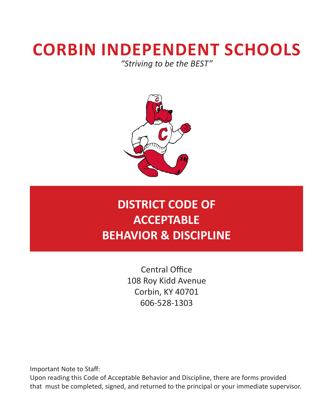# **CORBIN INDEPENDENT SCHOOLS** *"Striving to be the BEST"*

# **DISTRICT CODE OF ACCEPTABLE BEHAVIOR & DISCIPLINE**

Central Office 108 Roy Kidd Avenue Corbin, KY 40701 606-528-1303

Important Note to Staff:

Upon reading this Code of Acceptable Behavior and Discipline, there are forms provided that must be completed, signed, and returned to the principal or your immediate supervisor.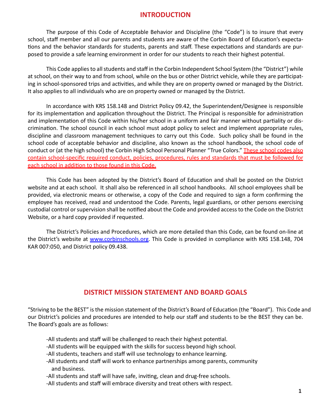#### **INTRODUCTION**

The purpose of this Code of Acceptable Behavior and Discipline (the "Code") is to insure that every school, staff member and all our parents and students are aware of the Corbin Board of Education's expectations and the behavior standards for students, parents and staff. These expectations and standards are purposed to provide a safe learning environment in order for our students to reach their highest potential.

This Code applies to all students and staff in the Corbin Independent School System (the "District") while at school, on their way to and from school, while on the bus or other District vehicle, while they are participating in school-sponsored trips and activities, and while they are on property owned or managed by the District. It also applies to all individuals who are on property owned or managed by the District.

In accordance with KRS 158.148 and District Policy 09.42, the Superintendent/Designee is responsible for its implementation and application throughout the District. The Principal is responsible for administration and implementation of this Code within his/her school in a uniform and fair manner without partiality or discrimination. The school council in each school must adopt policy to select and implement appropriate rules, discipline and classroom management techniques to carry out this Code. Such policy shall be found in the school code of acceptable behavior and discipline, also known as the school handbook, the school code of conduct or (at the high school) the Corbin High School Personal Planner "True Colors." These school codes also contain school-specific required conduct, policies, procedures, rules and standards that must be followed for each school in addition to those found in this Code.

This Code has been adopted by the District's Board of Education and shall be posted on the District website and at each school. It shall also be referenced in all school handbooks. All school employees shall be provided, via electronic means or otherwise, a copy of the Code and required to sign a form confirming the employee has received, read and understood the Code. Parents, legal guardians, or other persons exercising custodial control or supervision shall be notified about the Code and provided access to the Code on the District Website, or a hard copy provided if requested.

The District's Policies and Procedures, which are more detailed than this Code, can be found on-line at the District's website at www.corbinschools.org. This Code is provided in compliance with KRS 158.148, 704 KAR 007:050, and District policy 09.438.

## **DISTRICT MISSION STATEMENT AND BOARD GOALS**

"Striving to be the BEST" is the mission statement of the District's Board of Education (the "Board"). This Code and our District's policies and procedures are intended to help our staff and students to be the BEST they can be. The Board's goals are as follows:

- -All students and staff will be challenged to reach their highest potential.
- -All students will be equipped with the skills for success beyond high school.
- -All students, teachers and staff will use technology to enhance learning.
- -All students and staff will work to enhance partnerships among parents, community and business.
- -All students and staff will have safe, inviting, clean and drug-free schools.
- -All students and staff will embrace diversity and treat others with respect.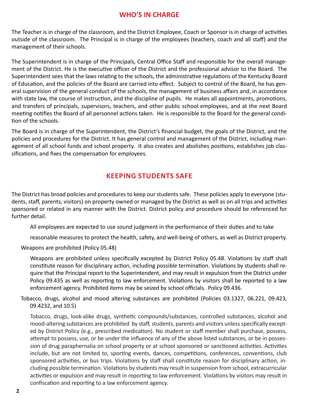## **WHO'S IN CHARGE**

The Teacher is in charge of the classroom, and the District Employee, Coach or Sponsor is in charge of activities outside of the classroom. The Principal is in charge of the employees (teachers, coach and all staff) and the management of their schools.

The Superintendent is in charge of the Principals, Central Office Staff and responsible for the overall management of the District. He is the executive officer of the District and the professional advisor to the Board. The Superintendent sees that the laws relating to the schools, the administrative regulations of the Kentucky Board of Education, and the policies of the Board are carried into effect. Subject to control of the Board, he has general supervision of the general conduct of the schools, the management of business affairs and, in accordance with state law, the course of instruction, and the discipline of pupils. He makes all appointments, promotions, and transfers of principals, supervisors, teachers, and other public school employees, and at the next Board meeting notifies the Board of all personnel actions taken. He is responsible to the Board for the general condition of the schools.

The Board is in charge of the Superintendent, the District's financial budget, the goals of the District, and the policies and procedures for the District. It has general control and management of the District, including management of all school funds and school property. It also creates and abolishes positions, establishes job classifications, and fixes the compensation for employees.

## **KEEPING STUDENTS SAFE**

The District has broad policies and procedures to keep our students safe. These policies apply to everyone (students, staff, parents, visitors) on property owned or managed by the District as well as on all trips and activities sponsored or related in any manner with the District. District policy and procedure should be referenced for further detail.

All employees are expected to use sound judgment in the performance of their duties and to take

reasonable measures to protect the health, safety, and well-being of others, as well as District property.

Weapons are prohibited (Policy 05.48)

Weapons are prohibited unless specifically excepted by District Policy 05.48. Violations by staff shall constitute reason for disciplinary action, including possible termination. Violations by students shall require that the Principal report to the Superintendent, and may result in expulsion from the District under Policy 09.435 as well as reporting to law enforcement. Violations by visitors shall be reported to a law enforcement agency. Prohibited items may be seized by school officials. Policy 09.436.

Tobacco, drugs, alcohol and mood altering substances are prohibited (Policies 03.1327, 06.221, 09.423, 09.4232, and 10.5)

Tobacco, drugs, look-alike drugs, synthetic compounds/substances, controlled substances, alcohol and mood-altering substances are prohibited by staff, students, parents and visitors unless specifically excepted by District Policy (e.g., prescribed medication). No student or staff member shall purchase, possess, attempt to possess, use, or be under the influence of any of the above listed substances, or be in possession of drug paraphernalia on school property or at school sponsored or sanctioned activities. Activities include, but are not limited to, sporting events, dances, competitions, conferences, conventions, club sponsored activities, or bus trips. Violations by staff shall constitute reason for disciplinary action, including possible termination. Violations by students may result in suspension from school, extracurricular activities or expulsion and may result in reporting to law enforcement. Violations by visitors may result in confiscation and reporting to a law enforcement agency.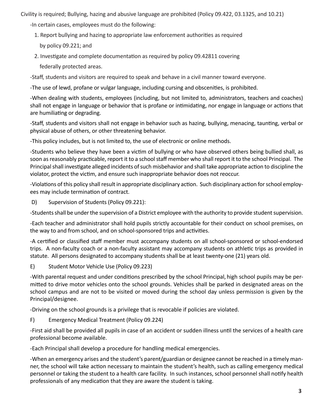Civility is required; Bullying, hazing and abusive language are prohibited (Policy 09.422, 03.1325, and 10.21)

-In certain cases, employees must do the following:

- 1. Report bullying and hazing to appropriate law enforcement authorities as required by policy 09.221; and
- 2. Investigate and complete documentation as required by policy 09.42811 covering federally protected areas.

-Staff, students and visitors are required to speak and behave in a civil manner toward everyone.

-The use of lewd, profane or vulgar language, including cursing and obscenities, is prohibited.

-When dealing with students, employees (including, but not limited to, administrators, teachers and coaches) shall not engage in language or behavior that is profane or intimidating, nor engage in language or actions that are humiliating or degrading.

-Staff, students and visitors shall not engage in behavior such as hazing, bullying, menacing, taunting, verbal or physical abuse of others, or other threatening behavior.

-This policy includes, but is not limited to, the use of electronic or online methods.

-Students who believe they have been a victim of bullying or who have observed others being bullied shall, as soon as reasonably practicable, report it to a school staff member who shall report it to the school Principal. The Principal shall investigate alleged incidents of such misbehavior and shall take appropriate action to discipline the violator, protect the victim, and ensure such inappropriate behavior does not reoccur.

-Violations of this policy shall result in appropriate disciplinary action. Such disciplinary action for school employees may include termination of contract.

D) Supervision of Students (Policy 09.221):

-Students shall be under the supervision of a District employee with the authority to provide student supervision.

-Each teacher and administrator shall hold pupils strictly accountable for their conduct on school premises, on the way to and from school, and on school-sponsored trips and activities.

-A certified or classified staff member must accompany students on all school-sponsored or school-endorsed trips. A non-faculty coach or a non-faculty assistant may accompany students on athletic trips as provided in statute. All persons designated to accompany students shall be at least twenty-one (21) years old.

E) Student Motor Vehicle Use (Policy 09.223)

-With parental request and under conditions prescribed by the school Principal, high school pupils may be permitted to drive motor vehicles onto the school grounds. Vehicles shall be parked in designated areas on the school campus and are not to be visited or moved during the school day unless permission is given by the Principal/designee.

-Driving on the school grounds is a privilege that is revocable if policies are violated.

F) Emergency Medical Treatment (Policy 09.224)

-First aid shall be provided all pupils in case of an accident or sudden illness until the services of a health care professional become available.

-Each Principal shall develop a procedure for handling medical emergencies.

-When an emergency arises and the student's parent/guardian or designee cannot be reached in a timely manner, the school will take action necessary to maintain the student's health, such as calling emergency medical personnel or taking the student to a health care facility. In such instances, school personnel shall notify health professionals of any medication that they are aware the student is taking.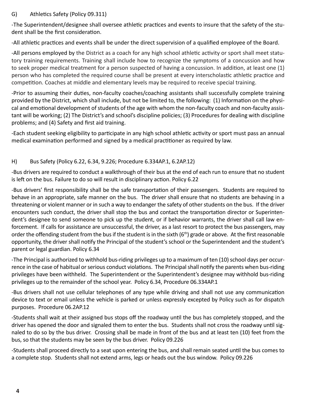#### G) Athletics Safety (Policy 09.311)

-The Superintendent/designee shall oversee athletic practices and events to insure that the safety of the student shall be the first consideration.

-All athletic practices and events shall be under the direct supervision of a qualified employee of the Board.

-All persons employed by the District as a coach for any high school athletic activity or sport shall meet statutory training requirements. Training shall include how to recognize the symptoms of a concussion and how to seek proper medical treatment for a person suspected of having a concussion. In addition, at least one (1) person who has completed the required course shall be present at every interscholastic athletic practice and competition. Coaches at middle and elementary levels may be required to receive special training.

-Prior to assuming their duties, non-faculty coaches/coaching assistants shall successfully complete training provided by the District, which shall include, but not be limited to, the following: (1) Information on the physical and emotional development of students of the age with whom the non-faculty coach and non-faculty assistant will be working; (2) The District's and school's discipline policies; (3) Procedures for dealing with discipline problems; and (4) Safety and first aid training.

-Each student seeking eligibility to participate in any high school athletic activity or sport must pass an annual medical examination performed and signed by a medical practitioner as required by law.

#### H) Bus Safety (Policy 6.22, 6.34, 9.226; Procedure 6.334AP.1, 6.2AP.12)

-Bus drivers are required to conduct a walkthrough of their bus at the end of each run to ensure that no student is left on the bus. Failure to do so will result in disciplinary action. Policy 6.22

-Bus drivers' first responsibility shall be the safe transportation of their passengers. Students are required to behave in an appropriate, safe manner on the bus. The driver shall ensure that no students are behaving in a threatening or violent manner or in such a way to endanger the safety of other students on the bus. If the driver encounters such conduct, the driver shall stop the bus and contact the transportation director or Superintendent's designee to send someone to pick up the student, or if behavior warrants, the driver shall call law enforcement. If calls for assistance are unsuccessful, the driver, as a last resort to protect the bus passengers, may order the offending student from the bus if the student is in the sixth (6<sup>th</sup>) grade or above. At the first reasonable opportunity, the driver shall notify the Principal of the student's school or the Superintendent and the student's parent or legal guardian. Policy 6.34

-The Principal is authorized to withhold bus-riding privileges up to a maximum of ten (10) school days per occurrence in the case of habitual or serious conduct violations. The Principal shall notify the parents when bus-riding privileges have been withheld. The Superintendent or the Superintendent's designee may withhold bus-riding privileges up to the remainder of the school year. Policy 6.34, Procedure 06.334AP.1

-Bus drivers shall not use cellular telephones of any type while driving and shall not use any communication device to text or email unless the vehicle is parked or unless expressly excepted by Policy such as for dispatch purposes. Procedure 06.2AP.12

-Students shall wait at their assigned bus stops off the roadway until the bus has completely stopped, and the driver has opened the door and signaled them to enter the bus. Students shall not cross the roadway until signaled to do so by the bus driver. Crossing shall be made in front of the bus and at least ten (10) feet from the bus, so that the students may be seen by the bus driver. Policy 09.226

-Students shall proceed directly to a seat upon entering the bus, and shall remain seated until the bus comes to a complete stop. Students shall not extend arms, legs or heads out the bus window. Policy 09.226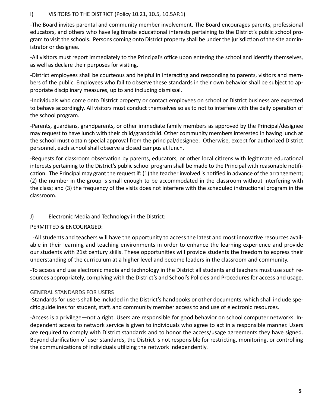#### I) VISITORS TO THE DISTRICT (Policy 10.21, 10.5, 10.5AP.1)

-The Board invites parental and community member involvement. The Board encourages parents, professional educators, and others who have legitimate educational interests pertaining to the District's public school program to visit the schools. Persons coming onto District property shall be under the jurisdiction of the site administrator or designee.

-All visitors must report immediately to the Principal's office upon entering the school and identify themselves, as well as declare their purposes for visiting.

-District employees shall be courteous and helpful in interacting and responding to parents, visitors and members of the public. Employees who fail to observe these standards in their own behavior shall be subject to appropriate disciplinary measures, up to and including dismissal.

-Individuals who come onto District property or contact employees on school or District business are expected to behave accordingly. All visitors must conduct themselves so as to not to interfere with the daily operation of the school program.

-Parents, guardians, grandparents, or other immediate family members as approved by the Principal/designee may request to have lunch with their child/grandchild. Other community members interested in having lunch at the school must obtain special approval from the principal/designee. Otherwise, except for authorized District personnel, each school shall observe a closed campus at lunch.

-Requests for classroom observation by parents, educators, or other local citizens with legitimate educational interests pertaining to the District's public school program shall be made to the Principal with reasonable notification. The Principal may grant the request if: (1) the teacher involved is notified in advance of the arrangement; (2) the number in the group is small enough to be accommodated in the classroom without interfering with the class; and (3) the frequency of the visits does not interfere with the scheduled instructional program in the classroom.

## J) Electronic Media and Technology in the District:

PERMITTED & ENCOURAGED:

 -All students and teachers will have the opportunity to access the latest and most innovative resources available in their learning and teaching environments in order to enhance the learning experience and provide our students with 21st century skills. These opportunities will provide students the freedom to express their understanding of the curriculum at a higher level and become leaders in the classroom and community.

-To access and use electronic media and technology in the District all students and teachers must use such resources appropriately, complying with the District's and School's Policies and Procedures for access and usage.

#### GENERAL STANDARDS FOR USERS

-Standards for users shall be included in the District's handbooks or other documents, which shall include specific guidelines for student, staff, and community member access to and use of electronic resources.

-Access is a privilege—not a right. Users are responsible for good behavior on school computer networks. Independent access to network service is given to individuals who agree to act in a responsible manner. Users are required to comply with District standards and to honor the access/usage agreements they have signed. Beyond clarification of user standards, the District is not responsible for restricting, monitoring, or controlling the communications of individuals utilizing the network independently.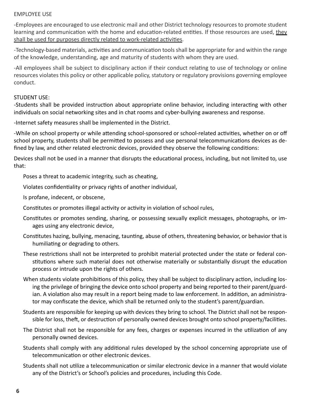#### EMPLOYEE USE

-Employees are encouraged to use electronic mail and other District technology resources to promote student learning and communication with the home and education-related entities. If those resources are used, they shall be used for purposes directly related to work-related activities.

-Technology-based materials, activities and communication tools shall be appropriate for and within the range of the knowledge, understanding, age and maturity of students with whom they are used.

-All employees shall be subject to disciplinary action if their conduct relating to use of technology or online resources violates this policy or other applicable policy, statutory or regulatory provisions governing employee conduct.

#### STUDENT USE:

-Students shall be provided instruction about appropriate online behavior, including interacting with other individuals on social networking sites and in chat rooms and cyber-bullying awareness and response.

-Internet safety measures shall be implemented in the District.

-While on school property or while attending school-sponsored or school-related activities, whether on or off school property, students shall be permitted to possess and use personal telecommunications devices as defined by law, and other related electronic devices, provided they observe the following conditions:

Devices shall not be used in a manner that disrupts the educational process, including, but not limited to, use that:

Poses a threat to academic integrity, such as cheating,

Violates confidentiality or privacy rights of another individual,

Is profane, indecent, or obscene,

Constitutes or promotes illegal activity or activity in violation of school rules,

- Constitutes or promotes sending, sharing, or possessing sexually explicit messages, photographs, or images using any electronic device,
- Constitutes hazing, bullying, menacing, taunting, abuse of others, threatening behavior, or behavior that is humiliating or degrading to others.
- These restrictions shall not be interpreted to prohibit material protected under the state or federal constitutions where such material does not otherwise materially or substantially disrupt the education process or intrude upon the rights of others.
- When students violate prohibitions of this policy, they shall be subject to disciplinary action, including losing the privilege of bringing the device onto school property and being reported to their parent/guardian. A violation also may result in a report being made to law enforcement. In addition, an administrator may confiscate the device, which shall be returned only to the student's parent/guardian.
- Students are responsible for keeping up with devices they bring to school. The District shall not be responsible for loss, theft, or destruction of personally owned devices brought onto school property/facilities.
- The District shall not be responsible for any fees, charges or expenses incurred in the utilization of any personally owned devices.
- Students shall comply with any additional rules developed by the school concerning appropriate use of telecommunication or other electronic devices.
- Students shall not utilize a telecommunication or similar electronic device in a manner that would violate any of the District's or School's policies and procedures, including this Code.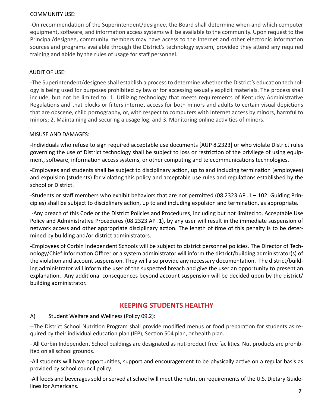#### COMMUNITY USE:

-On recommendation of the Superintendent/designee, the Board shall determine when and which computer equipment, software, and information access systems will be available to the community. Upon request to the Principal/designee, community members may have access to the Internet and other electronic information sources and programs available through the District's technology system, provided they attend any required training and abide by the rules of usage for staff personnel.

#### AUDIT OF USE:

-The Superintendent/designee shall establish a process to determine whether the District's education technology is being used for purposes prohibited by law or for accessing sexually explicit materials. The process shall include, but not be limited to: 1. Utilizing technology that meets requirements of Kentucky Administrative Regulations and that blocks or filters internet access for both minors and adults to certain visual depictions that are obscene, child pornography, or, with respect to computers with Internet access by minors, harmful to minors; 2. Maintaining and securing a usage log; and 3. Monitoring online activities of minors.

#### MISUSE AND DAMAGES:

-Individuals who refuse to sign required acceptable use documents [AUP 8.2323] or who violate District rules governing the use of District technology shall be subject to loss or restriction of the privilege of using equipment, software, information access systems, or other computing and telecommunications technologies.

-Employees and students shall be subject to disciplinary action, up to and including termination (employees) and expulsion (students) for violating this policy and acceptable use rules and regulations established by the school or District.

-Students or staff members who exhibit behaviors that are not permitted (08.2323 AP .1 – 102: Guiding Principles) shall be subject to disciplinary action, up to and including expulsion and termination, as appropriate.

 -Any breach of this Code or the District Policies and Procedures, including but not limited to, Acceptable Use Policy and Administrative Procedures (08.2323 AP .1), by any user will result in the immediate suspension of network access and other appropriate disciplinary action. The length of time of this penalty is to be determined by building and/or district administrators.

-Employees of Corbin Independent Schools will be subject to district personnel policies. The Director of Technology/Chief Information Officer or a system administrator will inform the district/building administrator(s) of the violation and account suspension. They will also provide any necessary documentation. The district/building administrator will inform the user of the suspected breach and give the user an opportunity to present an explanation. Any additional consequences beyond account suspension will be decided upon by the district/ building administrator.

## **KEEPING STUDENTS HEALTHY**

#### A) Student Welfare and Wellness (Policy 09.2):

--The District School Nutrition Program shall provide modified menus or food preparation for students as required by their individual education plan (IEP), Section 504 plan, or health plan.

- All Corbin Independent School buildings are designated as nut-product free facilities. Nut products are prohibited on all school grounds.

-All students will have opportunities, support and encouragement to be physically active on a regular basis as provided by school council policy.

-All foods and beverages sold or served at school will meet the nutrition requirements of the U.S. Dietary Guidelines for Americans.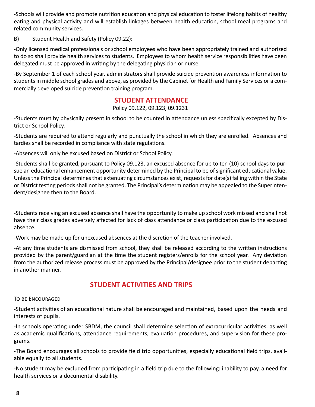-Schools will provide and promote nutrition education and physical education to foster lifelong habits of healthy eating and physical activity and will establish linkages between health education, school meal programs and related community services.

B) Student Health and Safety (Policy 09.22):

-Only licensed medical professionals or school employees who have been appropriately trained and authorized to do so shall provide health services to students. Employees to whom health service responsibilities have been delegated must be approved in writing by the delegating physician or nurse.

-By September 1 of each school year, administrators shall provide suicide prevention awareness information to students in middle school grades and above, as provided by the Cabinet for Health and Family Services or a commercially developed suicide prevention training program.

#### **STUDENT ATTENDANCE**

#### Policy 09.122, 09.123, 09.1231

-Students must by physically present in school to be counted in attendance unless specifically excepted by District or School Policy.

-Students are required to attend regularly and punctually the school in which they are enrolled. Absences and tardies shall be recorded in compliance with state regulations.

-Absences will only be excused based on District or School Policy.

-Students shall be granted, pursuant to Policy 09.123, an excused absence for up to ten (10) school days to pursue an educational enhancement opportunity determined by the Principal to be of significant educational value. Unless the Principal determines that extenuating circumstances exist, requests for date(s) falling within the State or District testing periods shall not be granted. The Principal's determination may be appealed to the Superintendent/designee then to the Board.

-Students receiving an excused absence shall have the opportunity to make up school work missed and shall not have their class grades adversely affected for lack of class attendance or class participation due to the excused absence.

-Work may be made up for unexcused absences at the discretion of the teacher involved.

-At any time students are dismissed from school, they shall be released according to the written instructions provided by the parent/guardian at the time the student registers/enrolls for the school year. Any deviation from the authorized release process must be approved by the Principal/designee prior to the student departing in another manner.

## **STUDENT ACTIVITIES AND TRIPS**

#### To be Encouraged

-Student activities of an educational nature shall be encouraged and maintained, based upon the needs and interests of pupils.

-In schools operating under SBDM, the council shall determine selection of extracurricular activities, as well as academic qualifications, attendance requirements, evaluation procedures, and supervision for these programs.

-The Board encourages all schools to provide field trip opportunities, especially educational field trips, available equally to all students.

-No student may be excluded from participating in a field trip due to the following: inability to pay, a need for health services or a documental disability.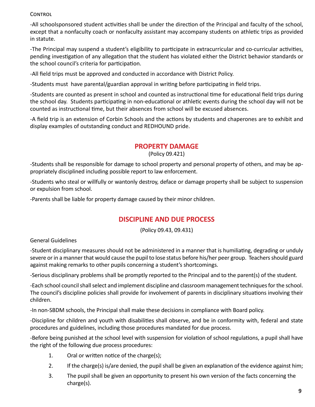#### **CONTROL**

-All schoolsponsored student activities shall be under the direction of the Principal and faculty of the school, except that a nonfaculty coach or nonfaculty assistant may accompany students on athletic trips as provided in statute.

-The Principal may suspend a student's eligibility to participate in extracurricular and co-curricular activities, pending investigation of any allegation that the student has violated either the District behavior standards or the school council's criteria for participation.

-All field trips must be approved and conducted in accordance with District Policy.

-Students must have parental/guardian approval in writing before participating in field trips.

-Students are counted as present in school and counted as instructional time for educational field trips during the school day. Students participating in non-educational or athletic events during the school day will not be counted as instructional time, but their absences from school will be excused absences.

-A field trip is an extension of Corbin Schools and the actions by students and chaperones are to exhibit and display examples of outstanding conduct and REDHOUND pride.

## **PROPERTY DAMAGE**

(Policy 09.421)

-Students shall be responsible for damage to school property and personal property of others, and may be appropriately disciplined including possible report to law enforcement.

-Students who steal or willfully or wantonly destroy, deface or damage property shall be subject to suspension or expulsion from school.

-Parents shall be liable for property damage caused by their minor children.

## **DISCIPLINE AND DUE PROCESS**

(Policy 09.43, 09.431)

General Guidelines

-Student disciplinary measures should not be administered in a manner that is humiliating, degrading or unduly severe or in a manner that would cause the pupil to lose status before his/her peer group. Teachers should guard against making remarks to other pupils concerning a student's shortcomings.

-Serious disciplinary problems shall be promptly reported to the Principal and to the parent(s) of the student.

-Each school council shall select and implement discipline and classroom management techniques for the school. The council's discipline policies shall provide for involvement of parents in disciplinary situations involving their children.

-In non-SBDM schools, the Principal shall make these decisions in compliance with Board policy.

-Discipline for children and youth with disabilities shall observe, and be in conformity with, federal and state procedures and guidelines, including those procedures mandated for due process.

-Before being punished at the school level with suspension for violation of school regulations, a pupil shall have the right of the following due process procedures:

- 1. Oral or written notice of the charge(s);
- 2. If the charge(s) is/are denied, the pupil shall be given an explanation of the evidence against him;
- 3. The pupil shall be given an opportunity to present his own version of the facts concerning the charge(s).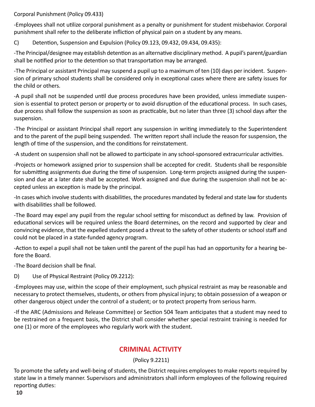Corporal Punishment (Policy 09.433)

-Employees shall not utilize corporal punishment as a penalty or punishment for student misbehavior. Corporal punishment shall refer to the deliberate infliction of physical pain on a student by any means.

## C) Detention, Suspension and Expulsion (Policy 09.123, 09.432, 09.434, 09.435):

-The Principal/designee may establish detention as an alternative disciplinary method. A pupil's parent/guardian shall be notified prior to the detention so that transportation may be arranged.

-The Principal or assistant Principal may suspend a pupil up to a maximum of ten (10) days per incident. Suspension of primary school students shall be considered only in exceptional cases where there are safety issues for the child or others.

-A pupil shall not be suspended until due process procedures have been provided, unless immediate suspension is essential to protect person or property or to avoid disruption of the educational process. In such cases, due process shall follow the suspension as soon as practicable, but no later than three (3) school days after the suspension.

-The Principal or assistant Principal shall report any suspension in writing immediately to the Superintendent and to the parent of the pupil being suspended. The written report shall include the reason for suspension, the length of time of the suspension, and the conditions for reinstatement.

-A student on suspension shall not be allowed to participate in any school-sponsored extracurricular activities.

-Projects or homework assigned prior to suspension shall be accepted for credit. Students shall be responsible for submitting assignments due during the time of suspension. Long-term projects assigned during the suspension and due at a later date shall be accepted. Work assigned and due during the suspension shall not be accepted unless an exception is made by the principal.

-In cases which involve students with disabilities, the procedures mandated by federal and state law for students with disabilities shall be followed.

-The Board may expel any pupil from the regular school setting for misconduct as defined by law. Provision of educational services will be required unless the Board determines, on the record and supported by clear and convincing evidence, that the expelled student posed a threat to the safety of other students or school staff and could not be placed in a state-funded agency program.

-Action to expel a pupil shall not be taken until the parent of the pupil has had an opportunity for a hearing before the Board.

-The Board decision shall be final.

D) Use of Physical Restraint (Policy 09.2212):

-Employees may use, within the scope of their employment, such physical restraint as may be reasonable and necessary to protect themselves, students, or others from physical injury; to obtain possession of a weapon or other dangerous object under the control of a student; or to protect property from serious harm.

-If the ARC (Admissions and Release Committee) or Section 504 Team anticipates that a student may need to be restrained on a frequent basis, the District shall consider whether special restraint training is needed for one (1) or more of the employees who regularly work with the student.

## **CRIMINAL ACTIVITY**

## (Policy 9.2211)

To promote the safety and well-being of students, the District requires employees to make reports required by state law in a timely manner. Supervisors and administrators shall inform employees of the following required reporting duties: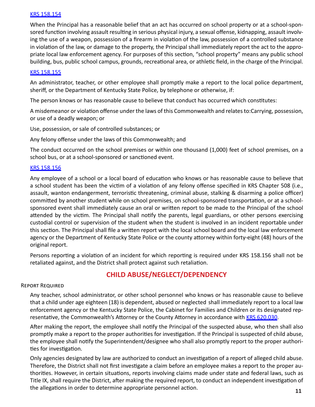#### KRS 158.154

When the Principal has a reasonable belief that an act has occurred on school property or at a school-sponsored function involving assault resulting in serious physical injury, a sexual offense, kidnapping, assault involving the use of a weapon, possession of a firearm in violation of the law, possession of a controlled substance in violation of the law, or damage to the property, the Principal shall immediately report the act to the appropriate local law enforcement agency. For purposes of this section, "school property" means any public school building, bus, public school campus, grounds, recreational area, or athletic field, in the charge of the Principal.

#### KRS 158.155

An administrator, teacher, or other employee shall promptly make a report to the local police department, sheriff, or the Department of Kentucky State Police, by telephone or otherwise, if:

The person knows or has reasonable cause to believe that conduct has occurred which constitutes:

A misdemeanor or violation offense under the laws of this Commonwealth and relates to:Carrying, possession, or use of a deadly weapon; or

Use, possession, or sale of controlled substances; or

Any felony offense under the laws of this Commonwealth; and

The conduct occurred on the school premises or within one thousand (1,000) feet of school premises, on a school bus, or at a school-sponsored or sanctioned event.

#### KRS 158.156

Any employee of a school or a local board of education who knows or has reasonable cause to believe that a school student has been the victim of a violation of any felony offense specified in KRS Chapter 508 (i.e., assault, wanton endangerment, terroristic threatening, criminal abuse, stalking & disarming a police officer) committed by another student while on school premises, on school-sponsored transportation, or at a schoolsponsored event shall immediately cause an oral or written report to be made to the Principal of the school attended by the victim. The Principal shall notify the parents, legal guardians, or other persons exercising custodial control or supervision of the student when the student is involved in an incident reportable under this section. The Principal shall file a written report with the local school board and the local law enforcement agency or the Department of Kentucky State Police or the county attorney within forty-eight (48) hours of the original report.

Persons reporting a violation of an incident for which reporting is required under KRS 158.156 shall not be retaliated against, and the District shall protect against such retaliation.

## **CHILD ABUSE/NEGLECT/DEPENDENCY**

#### Report Required

Any teacher, school administrator, or other school personnel who knows or has reasonable cause to believe that a child under age eighteen (18) is dependent, abused or neglected shall immediately report to a local law enforcement agency or the Kentucky State Police, the Cabinet for Families and Children or its designated representative, the Commonwealth's Attorney or the County Attorney in accordance with KRS 620.030.

After making the report, the employee shall notify the Principal of the suspected abuse, who then shall also promptly make a report to the proper authorities for investigation. If the Principal is suspected of child abuse, the employee shall notify the Superintendent/designee who shall also promptly report to the proper authorities for investigation.

Only agencies designated by law are authorized to conduct an investigation of a report of alleged child abuse. Therefore, the District shall not first investigate a claim before an employee makes a report to the proper authorities. However, in certain situations, reports involving claims made under state and federal laws, such as Title IX, shall require the District, after making the required report, to conduct an independent investigation of the allegations in order to determine appropriate personnel action. **<sup>11</sup>**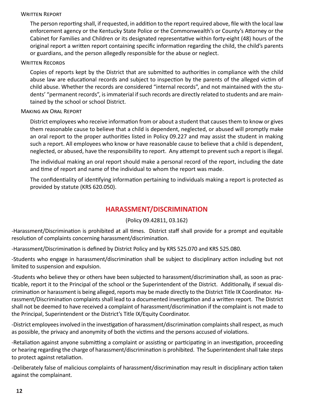#### WRITTEN REPORT

The person reporting shall, if requested, in addition to the report required above, file with the local law enforcement agency or the Kentucky State Police or the Commonwealth's or County's Attorney or the Cabinet for Families and Children or its designated representative within forty-eight (48) hours of the original report a written report containing specific information regarding the child, the child's parents or guardians, and the person allegedly responsible for the abuse or neglect.

#### WRITTEN RECORDS

Copies of reports kept by the District that are submitted to authorities in compliance with the child abuse law are educational records and subject to inspection by the parents of the alleged victim of child abuse. Whether the records are considered "internal records", and not maintained with the students' "permanent records", is immaterial if such records are directly related to students and are maintained by the school or school District.

#### Making an Oral Report

District employees who receive information from or about a student that causes them to know or gives them reasonable cause to believe that a child is dependent, neglected, or abused will promptly make an oral report to the proper authorities listed in Policy 09.227 and may assist the student in making such a report. All employees who know or have reasonable cause to believe that a child is dependent, neglected, or abused, have the responsibility to report. Any attempt to prevent such a report is illegal.

The individual making an oral report should make a personal record of the report, including the date and time of report and name of the individual to whom the report was made.

The confidentiality of identifying information pertaining to individuals making a report is protected as provided by statute (KRS 620.050).

## **HARASSMENT/DISCRIMINATION**

#### (Policy 09.42811, 03.162)

-Harassment/Discrimination is prohibited at all times. District staff shall provide for a prompt and equitable resolution of complaints concerning harassment/discrimination.

-Harassment/Discrimination is defined by District Policy and by KRS 525.070 and KRS 525.080.

-Students who engage in harassment/discrimination shall be subject to disciplinary action including but not limited to suspension and expulsion.

-Students who believe they or others have been subjected to harassment/discrimination shall, as soon as practicable, report it to the Principal of the school or the Superintendent of the District. Additionally, if sexual discrimination or harassment is being alleged, reports may be made directly to the District Title IX Coordinator. Harassment/Discrimination complaints shall lead to a documented investigation and a written report. The District shall not be deemed to have received a complaint of harassment/discrimination if the complaint is not made to the Principal, Superintendent or the District's Title IX/Equity Coordinator.

-District employees involved in the investigation of harassment/discrimination complaints shall respect, as much as possible, the privacy and anonymity of both the victims and the persons accused of violations.

-Retaliation against anyone submitting a complaint or assisting or participating in an investigation, proceeding or hearing regarding the charge of harassment/discrimination is prohibited. The Superintendent shall take steps to protect against retaliation.

-Deliberately false of malicious complaints of harassment/discrimination may result in disciplinary action taken against the complainant.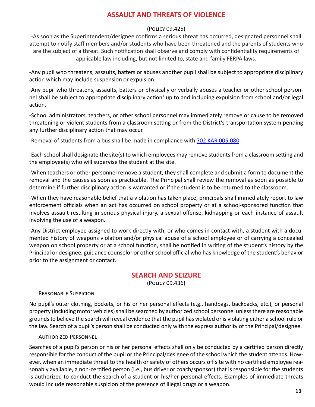## **ASSAULT AND THREATS OF VIOLENCE**

#### (Policy 09.425)

-As soon as the Superintendent/designee confirms a serious threat has occurred, designated personnel shall attempt to notify staff members and/or students who have been threatened and the parents of students who are the subject of a threat. Such notification shall observe and comply with confidentiality requirements of applicable law including, but not limited to, state and family FERPA laws.

-Any pupil who threatens, assaults, batters or abuses another pupil shall be subject to appropriate disciplinary action which may include suspension or expulsion.

-Any pupil who threatens, assaults, batters or physically or verbally abuses a teacher or other school personnel shall be subject to appropriate disciplinary action<sup>1</sup> up to and including expulsion from school and/or legal action.

-School administrators, teachers, or other school personnel may immediately remove or cause to be removed threatening or violent students from a classroom setting or from the District's transportation system pending any further disciplinary action that may occur.

-Removal of students from a bus shall be made in compliance with 702 KAR 005:080.

-Each school shall designate the site(s) to which employees may remove students from a classroom setting and the employee(s) who will supervise the student at the site.

-When teachers or other personnel remove a student, they shall complete and submit a form to document the removal and the causes as soon as practicable. The Principal shall review the removal as soon as possible to determine if further disciplinary action is warranted or if the student is to be returned to the classroom.

-When they have reasonable belief that a violation has taken place, principals shall immediately report to law enforcement officials when an act has occurred on school property or at a school-sponsored function that involves assault resulting in serious physical injury, a sexual offense, kidnapping or each instance of assault involving the use of a weapon.

-Any District employee assigned to work directly with, or who comes in contact with, a student with a documented history of weapons violation and/or physical abuse of a school employee or of carrying a concealed weapon on school property or at a school function, shall be notified in writing of the student's history by the Principal or designee, guidance counselor or other school official who has knowledge of the student's behavior prior to the assignment or contact.

## **SEARCH AND SEIZURE**

(Policy 09.436)

#### Reasonable Suspicion

No pupil's outer clothing, pockets, or his or her personal effects (e.g., handbags, backpacks, etc.), or personal property (including motor vehicles) shall be searched by authorized school personnel unless there are reasonable grounds to believe the search will reveal evidence that the pupil has violated or is violating either a school rule or the law. Search of a pupil's person shall be conducted only with the express authority of the Principal/designee.

#### Authorized Personnel

Searches of a pupil's person or his or her personal effects shall only be conducted by a certified person directly responsible for the conduct of the pupil or the Principal/designee of the school which the student attends. However, when an immediate threat to the health or safety of others occurs off site with no certified employee reasonably available, a non-certified person (i.e., bus driver or coach/sponsor) that is responsible for the students is authorized to conduct the search of a student or his/her personal effects. Examples of immediate threats would include reasonable suspicion of the presence of illegal drugs or a weapon.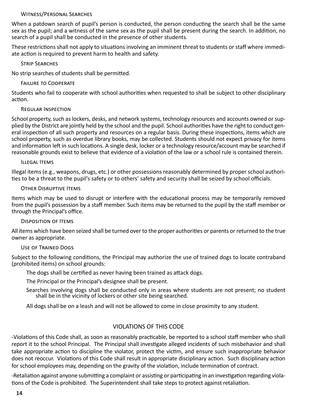#### Witness/Personal Searches

When a patdown search of pupil's person is conducted, the person conducting the search shall be the same sex as the pupil; and a witness of the same sex as the pupil shall be present during the search. In addition, no search of a pupil shall be conducted in the presence of other students.

These restrictions shall not apply to situations involving an imminent threat to students or staff where immediate action is required to prevent harm to health and safety.

Strip Searches

No strip searches of students shall be permitted.

#### Failure to Cooperate

Students who fail to cooperate with school authorities when requested to shall be subject to other disciplinary action.

#### Regular Inspection

School property, such as lockers, desks, and network systems, technology resources and accounts owned or supplied by the District are jointly held by the school and the pupil. School authorities have the right to conduct general inspection of all such property and resources on a regular basis. During these inspections, items which are school property, such as overdue library books, may be collected. Students should not expect privacy for items and information left in such locations. A single desk, locker or a technology resource/account may be searched if reasonable grounds exist to believe that evidence of a violation of the law or a school rule is contained therein.

#### Illegal Items

Illegal items (e.g., weapons, drugs, etc.) or other possessions reasonably determined by proper school authorities to be a threat to the pupil's safety or to others' safety and security shall be seized by school officials.

#### Other Disruptive Items

Items which may be used to disrupt or interfere with the educational process may be temporarily removed from the pupil's possession by a staff member. Such items may be returned to the pupil by the staff member or through the Principal's office.

#### Disposition of Items

All items which have been seized shall be turned over to the proper authorities or parents or returned to the true owner as appropriate.

#### Use of Trained Dogs

Subject to the following conditions, the Principal may authorize the use of trained dogs to locate contraband (prohibited items) on school grounds:

The dogs shall be certified as never having been trained as attack dogs.

The Principal or the Principal's designee shall be present.

Searches involving dogs shall be conducted only in areas where students are not present; no student shall be in the vicinity of lockers or other site being searched.

All dogs shall be on a leash and will not be allowed to come in close proximity to any student.

#### VIOLATIONS OF THIS CODE

-Violations of this Code shall, as soon as reasonably practicable, be reported to a school staff member who shall report it to the school Principal. The Principal shall investigate alleged incidents of such misbehavior and shall take appropriate action to discipline the violator, protect the victim, and ensure such inappropriate behavior does not reoccur. Violations of this Code shall result in appropriate disciplinary action. Such disciplinary action for school employees may, depending on the gravity of the violation, include termination of contract.

-Retaliation against anyone submitting a complaint or assisting or participating in an investigation regarding violations of the Code is prohibited. The Superintendent shall take steps to protect against retaliation.